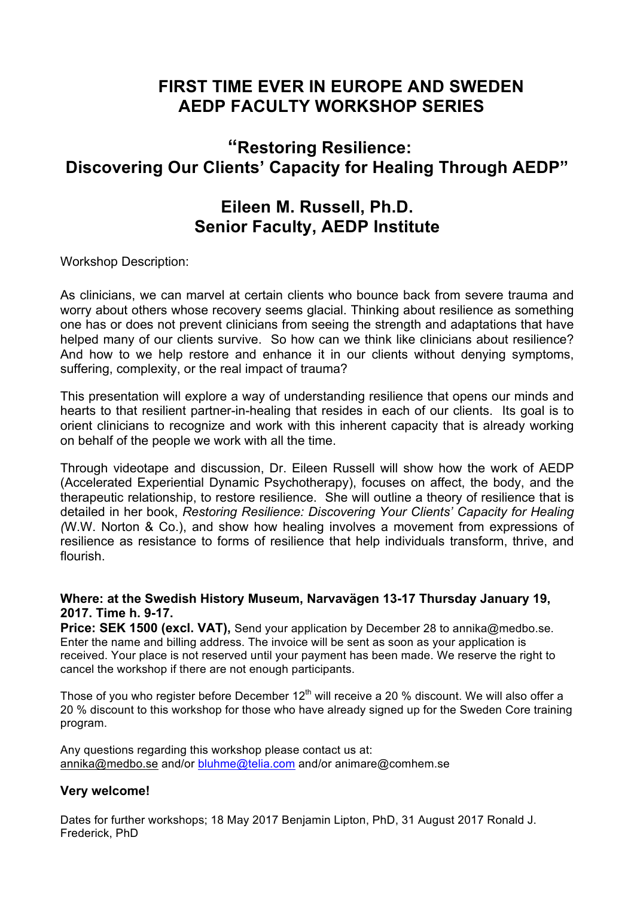# **FIRST TIME EVER IN EUROPE AND SWEDEN AEDP FACULTY WORKSHOP SERIES**

# **"Restoring Resilience: Discovering Our Clients' Capacity for Healing Through AEDP"**

### **Eileen M. Russell, Ph.D. Senior Faculty, AEDP Institute**

Workshop Description:

As clinicians, we can marvel at certain clients who bounce back from severe trauma and worry about others whose recovery seems glacial. Thinking about resilience as something one has or does not prevent clinicians from seeing the strength and adaptations that have helped many of our clients survive. So how can we think like clinicians about resilience? And how to we help restore and enhance it in our clients without denying symptoms, suffering, complexity, or the real impact of trauma?

This presentation will explore a way of understanding resilience that opens our minds and hearts to that resilient partner-in-healing that resides in each of our clients. Its goal is to orient clinicians to recognize and work with this inherent capacity that is already working on behalf of the people we work with all the time.

Through videotape and discussion, Dr. Eileen Russell will show how the work of AEDP (Accelerated Experiential Dynamic Psychotherapy), focuses on affect, the body, and the therapeutic relationship, to restore resilience. She will outline a theory of resilience that is detailed in her book, *Restoring Resilience: Discovering Your Clients' Capacity for Healing (*W.W. Norton & Co.), and show how healing involves a movement from expressions of resilience as resistance to forms of resilience that help individuals transform, thrive, and flourish.

#### **Where: at the Swedish History Museum, Narvavägen 13-17 Thursday January 19, 2017. Time h. 9-17.**

**Price: SEK 1500 (excl. VAT),** Send your application by December 28 to annika@medbo.se. Enter the name and billing address. The invoice will be sent as soon as your application is received. Your place is not reserved until your payment has been made. We reserve the right to cancel the workshop if there are not enough participants.

Those of you who register before December  $12<sup>th</sup>$  will receive a 20 % discount. We will also offer a 20 % discount to this workshop for those who have already signed up for the Sweden Core training program.

Any questions regarding this workshop please contact us at: annika@medbo.se and/or bluhme@telia.com and/or animare@comhem.se

#### **Very welcome!**

Dates for further workshops; 18 May 2017 Benjamin Lipton, PhD, 31 August 2017 Ronald J. Frederick, PhD